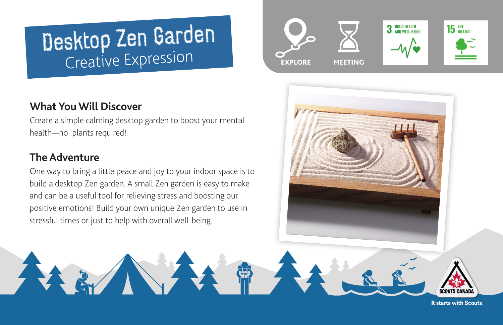# Desktop Zen Garden Creative Expression

# **What You Will Discover**

Create a simple calming desktop garden to boost your mental health—no plants required!

# **The Adventure**

One way to bring a little peace and joy to your indoor space is to build a desktop Zen garden. A small Zen garden is easy to make and can be a useful tool for relieving stress and boosting our positive emotions! Build your own unique Zen garden to use in stressful times or just to help with overall well-being.







It starts with Scouts.